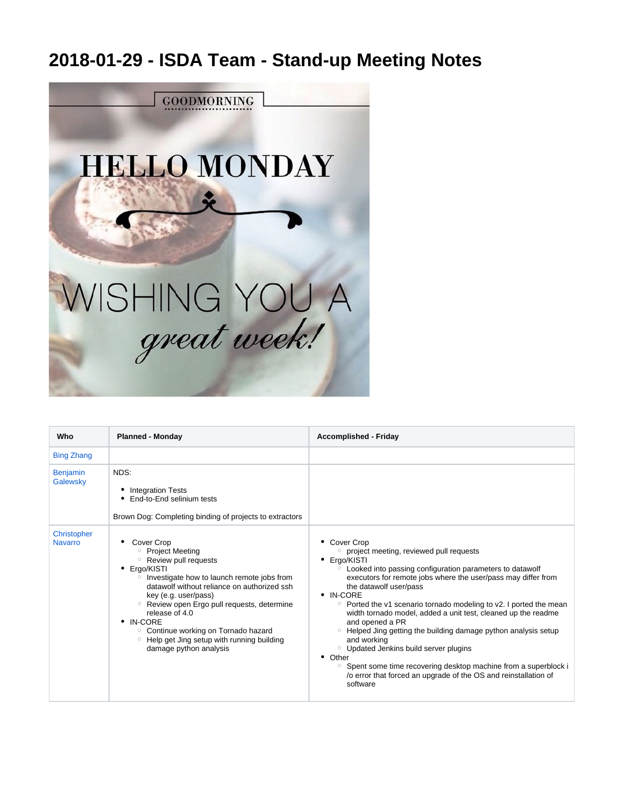## **2018-01-29 - ISDA Team - Stand-up Meeting Notes**



| Who                           | <b>Planned - Monday</b>                                                                                                                                                                                                                                                                                                                                                                                                                                                 | <b>Accomplished - Friday</b>                                                                                                                                                                                                                                                                                                                                                                                                                                                                                                                                                                                                                                                                                                          |
|-------------------------------|-------------------------------------------------------------------------------------------------------------------------------------------------------------------------------------------------------------------------------------------------------------------------------------------------------------------------------------------------------------------------------------------------------------------------------------------------------------------------|---------------------------------------------------------------------------------------------------------------------------------------------------------------------------------------------------------------------------------------------------------------------------------------------------------------------------------------------------------------------------------------------------------------------------------------------------------------------------------------------------------------------------------------------------------------------------------------------------------------------------------------------------------------------------------------------------------------------------------------|
| <b>Bing Zhang</b>             |                                                                                                                                                                                                                                                                                                                                                                                                                                                                         |                                                                                                                                                                                                                                                                                                                                                                                                                                                                                                                                                                                                                                                                                                                                       |
| <b>Benjamin</b><br>Galewsky   | NDS:<br><b>Integration Tests</b><br>End-to-End selinium tests<br>Brown Dog: Completing binding of projects to extractors                                                                                                                                                                                                                                                                                                                                                |                                                                                                                                                                                                                                                                                                                                                                                                                                                                                                                                                                                                                                                                                                                                       |
| Christopher<br><b>Navarro</b> | Cover Crop<br><sup>o</sup> Project Meeting<br>$\circ$ Review pull requests<br>Ergo/KISTI<br>٠<br><sup>o</sup> Investigate how to launch remote jobs from<br>datawolf without reliance on authorized ssh<br>key (e.g. user/pass)<br><sup>o</sup> Review open Ergo pull requests, determine<br>release of 4.0<br>$\bullet$ IN-CORE<br><sup>o</sup> Continue working on Tornado hazard<br><sup>o</sup> Help get Jing setup with running building<br>damage python analysis | • Cover Crop<br>project meeting, reviewed pull requests<br>$\circ$<br>• Ergo/KISTI<br>Looked into passing configuration parameters to datawolf<br>executors for remote jobs where the user/pass may differ from<br>the datawolf user/pass<br>$\bullet$ IN-CORE<br>○ Ported the v1 scenario tornado modeling to v2. I ported the mean<br>width tornado model, added a unit test, cleaned up the readme<br>and opened a PR<br>○ Helped Jing getting the building damage python analysis setup<br>and working<br><sup>o</sup> Updated Jenkins build server plugins<br>• Other<br>Spent some time recovering desktop machine from a superblock i<br>$\circ$<br>o error that forced an upgrade of the OS and reinstallation of<br>software |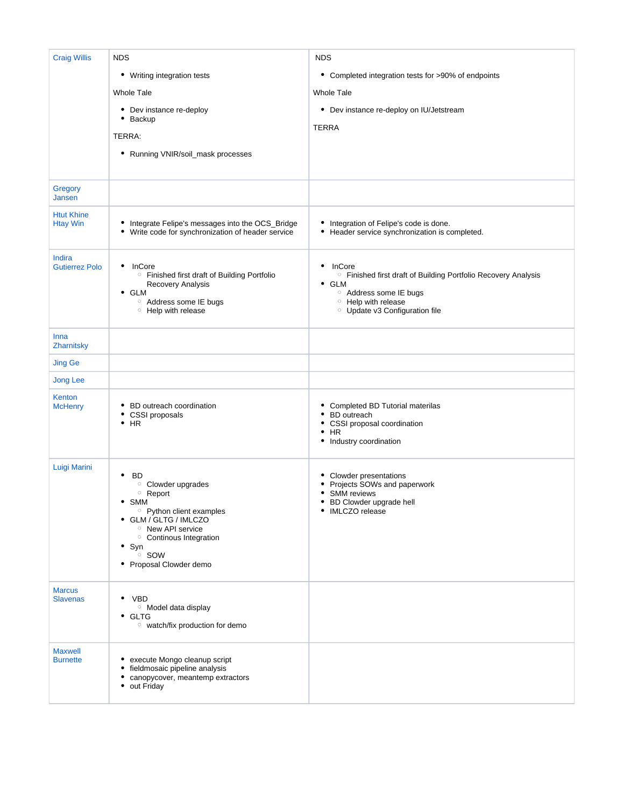| <b>Craig Willis</b>                  | <b>NDS</b>                                                                                                                                                                                                                                                                               | <b>NDS</b>                                                                                                                                                                                                                 |
|--------------------------------------|------------------------------------------------------------------------------------------------------------------------------------------------------------------------------------------------------------------------------------------------------------------------------------------|----------------------------------------------------------------------------------------------------------------------------------------------------------------------------------------------------------------------------|
|                                      | • Writing integration tests                                                                                                                                                                                                                                                              | • Completed integration tests for >90% of endpoints                                                                                                                                                                        |
|                                      | Whole Tale                                                                                                                                                                                                                                                                               | <b>Whole Tale</b>                                                                                                                                                                                                          |
|                                      | • Dev instance re-deploy<br>• Backup                                                                                                                                                                                                                                                     | • Dev instance re-deploy on IU/Jetstream                                                                                                                                                                                   |
|                                      | TERRA:                                                                                                                                                                                                                                                                                   | <b>TERRA</b>                                                                                                                                                                                                               |
|                                      | • Running VNIR/soil_mask processes                                                                                                                                                                                                                                                       |                                                                                                                                                                                                                            |
| Gregory<br>Jansen                    |                                                                                                                                                                                                                                                                                          |                                                                                                                                                                                                                            |
| <b>Htut Khine</b><br><b>Htay Win</b> | • Integrate Felipe's messages into the OCS_Bridge<br>• Write code for synchronization of header service                                                                                                                                                                                  | • Integration of Felipe's code is done.<br>Header service synchronization is completed.<br>٠                                                                                                                               |
| Indira<br><b>Gutierrez Polo</b>      | InCore<br>٠<br><sup>o</sup> Finished first draft of Building Portfolio<br>Recovery Analysis<br>$\bullet$ GLM<br><sup>o</sup> Address some IE bugs<br><sup>o</sup> Help with release                                                                                                      | • InCore<br><sup>o</sup> Finished first draft of Building Portfolio Recovery Analysis<br>$\bullet$ GLM<br><sup>o</sup> Address some IE bugs<br><sup>o</sup> Help with release<br><sup>o</sup> Update v3 Configuration file |
| Inna<br>Zharnitsky                   |                                                                                                                                                                                                                                                                                          |                                                                                                                                                                                                                            |
| <b>Jing Ge</b>                       |                                                                                                                                                                                                                                                                                          |                                                                                                                                                                                                                            |
| Jong Lee                             |                                                                                                                                                                                                                                                                                          |                                                                                                                                                                                                                            |
| Kenton<br><b>McHenry</b>             | • BD outreach coordination<br>• CSSI proposals<br>$\bullet$ HR                                                                                                                                                                                                                           | • Completed BD Tutorial materilas<br><b>BD</b> outreach<br>• CSSI proposal coordination<br>HR<br>Industry coordination<br>٠                                                                                                |
| Luigi Marini                         | <b>BD</b><br>٠<br><sup>o</sup> Clowder upgrades<br><sup>o</sup> Report<br>$\bullet$ SMM<br><sup>o</sup> Python client examples<br>• GLM / GLTG / IMLCZO<br><sup>o</sup> New API service<br><sup>o</sup> Continous Integration<br>$\bullet$ Syn<br>$\circ$ SOW<br>• Proposal Clowder demo | • Clowder presentations<br>Projects SOWs and paperwork<br><b>SMM</b> reviews<br>BD Clowder upgrade hell<br>٠<br>• IMLCZO release                                                                                           |
| <b>Marcus</b><br><b>Slavenas</b>     | <b>VBD</b><br>٠<br><sup>o</sup> Model data display<br>• GLTG<br><sup>o</sup> watch/fix production for demo                                                                                                                                                                               |                                                                                                                                                                                                                            |
| <b>Maxwell</b><br><b>Burnette</b>    | • execute Mongo cleanup script<br>fieldmosaic pipeline analysis<br>٠<br>• canopycover, meantemp extractors<br>• out Friday                                                                                                                                                               |                                                                                                                                                                                                                            |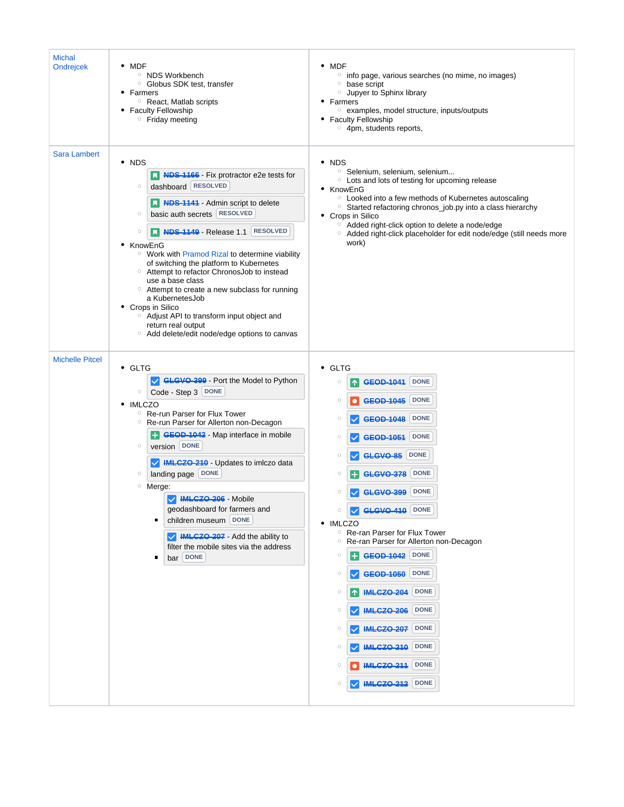| <b>Michal</b><br>Ondrejcek | $\bullet$ MDF<br>○ NDS Workbench<br><sup>o</sup> Globus SDK test, transfer<br>• Farmers<br><sup>o</sup> React, Matlab scripts<br>• Faculty Fellowship<br>○ Friday meeting                                                                                                                                                                                                                                                                                                                                                                                                                                                                                                      | $\bullet$ MDF<br><sup>o</sup> info page, various searches (no mime, no images)<br><b>base script</b><br><sup>o</sup> Jupyer to Sphinx library<br>• Farmers<br>o examples, model structure, inputs/outputs<br>• Faculty Fellowship<br><sup>o</sup> 4pm, students reports,                                                                                                                                                                                                                                                                                                                                                                                                                                                                                                        |
|----------------------------|--------------------------------------------------------------------------------------------------------------------------------------------------------------------------------------------------------------------------------------------------------------------------------------------------------------------------------------------------------------------------------------------------------------------------------------------------------------------------------------------------------------------------------------------------------------------------------------------------------------------------------------------------------------------------------|---------------------------------------------------------------------------------------------------------------------------------------------------------------------------------------------------------------------------------------------------------------------------------------------------------------------------------------------------------------------------------------------------------------------------------------------------------------------------------------------------------------------------------------------------------------------------------------------------------------------------------------------------------------------------------------------------------------------------------------------------------------------------------|
| <b>Sara Lambert</b>        | $\bullet$ NDS<br>No. 1166 - Fix protractor e2e tests for<br>dashboard RESOLVED<br>$\circ$<br>N NDS-1141 - Admin script to delete<br>basic auth secrets   RESOLVED<br>$\circ$<br>NBS-1149 - Release 1.1 RESOLVED<br>$\circ$<br>• KnowEnG<br><sup>o</sup> Work with Pramod Rizal to determine viability<br>of switching the platform to Kubernetes<br><sup>o</sup> Attempt to refactor ChronosJob to instead<br>use a base class<br><sup>o</sup> Attempt to create a new subclass for running<br>a KubernetesJob<br>• Crops in Silico<br><sup>o</sup> Adjust API to transform input object and<br>return real output<br><sup>o</sup> Add delete/edit node/edge options to canvas | $\bullet$ NDS<br><sup>o</sup> Selenium, selenium, selenium<br><sup>o</sup> Lots and lots of testing for upcoming release<br>• KnowEnG<br><sup>o</sup> Looked into a few methods of Kubernetes autoscaling<br><sup>o</sup> Started refactoring chronos_job.py into a class hierarchy<br>• Crops in Silico<br><sup>o</sup> Added right-click option to delete a node/edge<br><sup>o</sup> Added right-click placeholder for edit node/edge (still needs more<br>work)                                                                                                                                                                                                                                                                                                             |
| <b>Michelle Pitcel</b>     | • GLTG<br>GLGVO-399 - Port the Model to Python<br>Code - Step 3 DONE<br>$\circ$<br>• IMLCZO<br><sup>o</sup> Re-run Parser for Flux Tower<br><sup>o</sup> Re-run Parser for Allerton non-Decagon<br><b>ED</b> GEOD-1042 - Map interface in mobile<br>version DONE<br>$\circ$<br>MILCZO 210 - Updates to imiczo data<br>landing page DONE<br>$\circ$<br>$\circ$<br>Merge:<br><b>IMLCZO-206 - Mobile</b><br>$\blacktriangledown$<br>geodashboard for farmers and<br>children museum   DONE<br>MILCZO-207 - Add the ability to<br>filter the mobile sites via the address<br><b>DONE</b><br>bar                                                                                    | • GLTG<br><b>GEOD-1041</b> DONE<br>$\circ$<br>$\uparrow$<br><b>GEOD-1045</b> DONE<br>$\circ$<br>$\bullet$<br><b>GEOD-1048</b> DONE<br>$\circ$<br><b>DONE</b><br><b>GEOD-1051</b><br>$\circ$<br><b>GLGVO-85 DONE</b><br>$\circ$<br><b>DONE</b><br>GLGVO-378<br>$\circ$<br><b>DONE</b><br>GLGVO-399<br>$\circ$<br>GLGVO-410 DONE<br>$\circ$<br>• IMLCZO<br><sup>o</sup> Re-ran Parser for Flux Tower<br>Re-ran Parser for Allerton non-Decagon<br>$\circ$<br><b>CEOD-1042</b> DONE<br>$\circ$<br>$\sqrt{\frac{1}{100}}$ GEOD-1050 DONE<br>$\circ$<br>1 <b>IMLCZO-204</b> DONE<br>$\circ$<br><b>IMLCZO-206</b> DONE<br>$\circ$<br><b>IMLCZO-207</b> DONE<br>$\circ$<br><b>IMLCZO-210</b> DONE<br>$\circ$<br><b>IMLCZO-211</b> DONE<br>$\circ$<br><b>IMLCZO-212</b> DONE<br>$\circ$ |